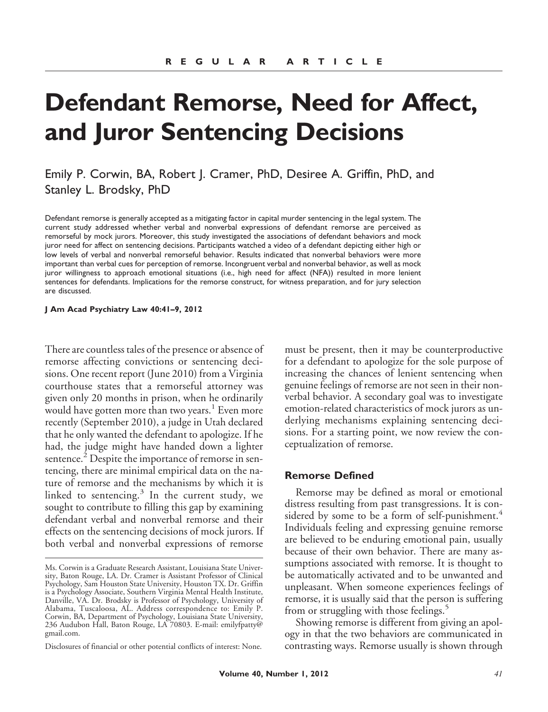# **Defendant Remorse, Need for Affect, and Juror Sentencing Decisions**

Emily P. Corwin, BA, Robert J. Cramer, PhD, Desiree A. Griffin, PhD, and Stanley L. Brodsky, PhD

Defendant remorse is generally accepted as a mitigating factor in capital murder sentencing in the legal system. The current study addressed whether verbal and nonverbal expressions of defendant remorse are perceived as remorseful by mock jurors. Moreover, this study investigated the associations of defendant behaviors and mock juror need for affect on sentencing decisions. Participants watched a video of a defendant depicting either high or low levels of verbal and nonverbal remorseful behavior. Results indicated that nonverbal behaviors were more important than verbal cues for perception of remorse. Incongruent verbal and nonverbal behavior, as well as mock juror willingness to approach emotional situations (i.e., high need for affect (NFA)) resulted in more lenient sentences for defendants. Implications for the remorse construct, for witness preparation, and for jury selection are discussed.

#### **J Am Acad Psychiatry Law 40:41–9, 2012**

There are countless tales of the presence or absence of remorse affecting convictions or sentencing decisions. One recent report (June 2010) from a Virginia courthouse states that a remorseful attorney was given only 20 months in prison, when he ordinarily would have gotten more than two years.<sup>1</sup> Even more recently (September 2010), a judge in Utah declared that he only wanted the defendant to apologize. If he had, the judge might have handed down a lighter sentence.<sup>2</sup> Despite the importance of remorse in sentencing, there are minimal empirical data on the nature of remorse and the mechanisms by which it is linked to sentencing.<sup>3</sup> In the current study, we sought to contribute to filling this gap by examining defendant verbal and nonverbal remorse and their effects on the sentencing decisions of mock jurors. If both verbal and nonverbal expressions of remorse

Disclosures of financial or other potential conflicts of interest: None.

must be present, then it may be counterproductive for a defendant to apologize for the sole purpose of increasing the chances of lenient sentencing when genuine feelings of remorse are not seen in their nonverbal behavior. A secondary goal was to investigate emotion-related characteristics of mock jurors as underlying mechanisms explaining sentencing decisions. For a starting point, we now review the conceptualization of remorse.

#### **Remorse Defined**

Remorse may be defined as moral or emotional distress resulting from past transgressions. It is considered by some to be a form of self-punishment.<sup>4</sup> Individuals feeling and expressing genuine remorse are believed to be enduring emotional pain, usually because of their own behavior. There are many assumptions associated with remorse. It is thought to be automatically activated and to be unwanted and unpleasant. When someone experiences feelings of remorse, it is usually said that the person is suffering from or struggling with those feelings.<sup>5</sup>

Showing remorse is different from giving an apology in that the two behaviors are communicated in contrasting ways. Remorse usually is shown through

Ms. Corwin is a Graduate Research Assistant, Louisiana State University, Baton Rouge, LA. Dr. Cramer is Assistant Professor of Clinical Psychology, Sam Houston State University, Houston TX. Dr. Griffin is a Psychology Associate, Southern Virginia Mental Health Institute, Danville, VA. Dr. Brodsky is Professor of Psychology, University of Alabama, Tuscaloosa, AL. Address correspondence to: Emily P. Corwin, BA, Department of Psychology, Louisiana State University, 236 Audubon Hall, Baton Rouge, LA 70803. E-mail: emilyfpatty@ gmail.com.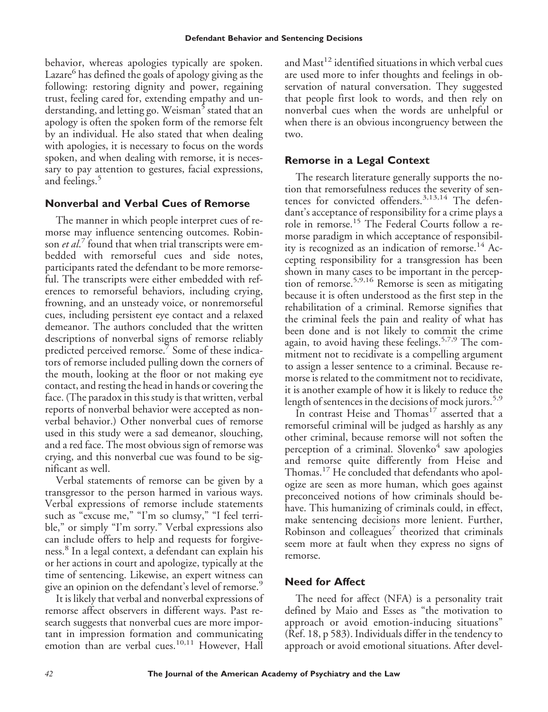behavior, whereas apologies typically are spoken. Lazare<sup>6</sup> has defined the goals of apology giving as the following: restoring dignity and power, regaining trust, feeling cared for, extending empathy and understanding, and letting go. Weisman<sup>5</sup> stated that an apology is often the spoken form of the remorse felt by an individual. He also stated that when dealing with apologies, it is necessary to focus on the words spoken, and when dealing with remorse, it is necessary to pay attention to gestures, facial expressions, and feelings.<sup>5</sup>

## **Nonverbal and Verbal Cues of Remorse**

The manner in which people interpret cues of remorse may influence sentencing outcomes. Robinson *et al*. <sup>7</sup> found that when trial transcripts were embedded with remorseful cues and side notes, participants rated the defendant to be more remorseful. The transcripts were either embedded with references to remorseful behaviors, including crying, frowning, and an unsteady voice, or nonremorseful cues, including persistent eye contact and a relaxed demeanor. The authors concluded that the written descriptions of nonverbal signs of remorse reliably predicted perceived remorse.<sup>7</sup> Some of these indicators of remorse included pulling down the corners of the mouth, looking at the floor or not making eye contact, and resting the head in hands or covering the face. (The paradox in this study is that written, verbal reports of nonverbal behavior were accepted as nonverbal behavior.) Other nonverbal cues of remorse used in this study were a sad demeanor, slouching, and a red face. The most obvious sign of remorse was crying, and this nonverbal cue was found to be significant as well.

Verbal statements of remorse can be given by a transgressor to the person harmed in various ways. Verbal expressions of remorse include statements such as "excuse me," "I'm so clumsy," "I feel terrible," or simply "I'm sorry." Verbal expressions also can include offers to help and requests for forgiveness.<sup>8</sup> In a legal context, a defendant can explain his or her actions in court and apologize, typically at the time of sentencing. Likewise, an expert witness can give an opinion on the defendant's level of remorse.<sup>9</sup>

It is likely that verbal and nonverbal expressions of remorse affect observers in different ways. Past research suggests that nonverbal cues are more important in impression formation and communicating emotion than are verbal cues.<sup>10,11</sup> However, Hall

and Mast $^{12}$  identified situations in which verbal cues are used more to infer thoughts and feelings in observation of natural conversation. They suggested that people first look to words, and then rely on nonverbal cues when the words are unhelpful or when there is an obvious incongruency between the two.

## **Remorse in a Legal Context**

The research literature generally supports the notion that remorsefulness reduces the severity of sentences for convicted offenders.<sup>3,13,14</sup> The defendant's acceptance of responsibility for a crime plays a role in remorse.<sup>15</sup> The Federal Courts follow a remorse paradigm in which acceptance of responsibility is recognized as an indication of remorse.<sup>14</sup> Accepting responsibility for a transgression has been shown in many cases to be important in the perception of remorse.5,9,16 Remorse is seen as mitigating because it is often understood as the first step in the rehabilitation of a criminal. Remorse signifies that the criminal feels the pain and reality of what has been done and is not likely to commit the crime again, to avoid having these feelings.<sup>5,7,9</sup> The commitment not to recidivate is a compelling argument to assign a lesser sentence to a criminal. Because remorse is related to the commitment not to recidivate, it is another example of how it is likely to reduce the length of sentences in the decisions of mock jurors.<sup>5,9</sup>

In contrast Heise and Thomas<sup>17</sup> asserted that a remorseful criminal will be judged as harshly as any other criminal, because remorse will not soften the perception of a criminal. Slovenko $4$  saw apologies and remorse quite differently from Heise and Thomas.<sup>17</sup> He concluded that defendants who apologize are seen as more human, which goes against preconceived notions of how criminals should behave. This humanizing of criminals could, in effect, make sentencing decisions more lenient. Further, Robinson and colleagues $\prime$  theorized that criminals seem more at fault when they express no signs of remorse.

# **Need for Affect**

The need for affect (NFA) is a personality trait defined by Maio and Esses as "the motivation to approach or avoid emotion-inducing situations" (Ref. 18, p 583). Individuals differ in the tendency to approach or avoid emotional situations. After devel-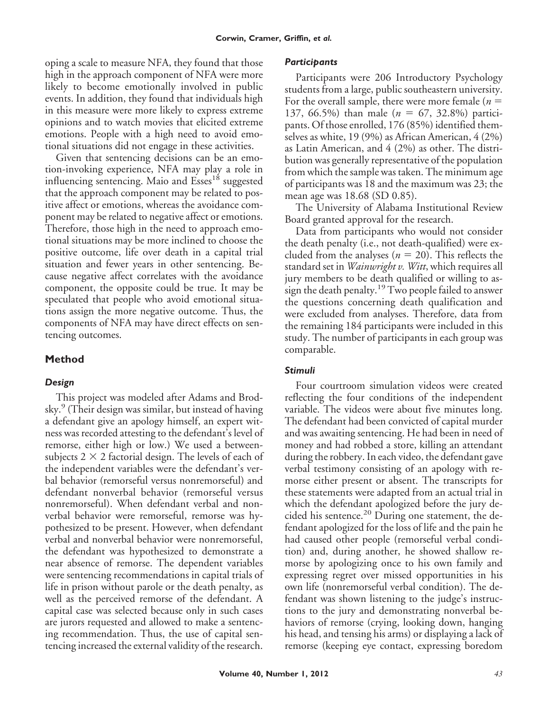oping a scale to measure NFA, they found that those high in the approach component of NFA were more likely to become emotionally involved in public events. In addition, they found that individuals high in this measure were more likely to express extreme opinions and to watch movies that elicited extreme emotions. People with a high need to avoid emotional situations did not engage in these activities.

Given that sentencing decisions can be an emotion-invoking experience, NFA may play a role in influencing sentencing. Maio and Esses<sup>18</sup> suggested that the approach component may be related to positive affect or emotions, whereas the avoidance component may be related to negative affect or emotions. Therefore, those high in the need to approach emotional situations may be more inclined to choose the positive outcome, life over death in a capital trial situation and fewer years in other sentencing. Because negative affect correlates with the avoidance component, the opposite could be true. It may be speculated that people who avoid emotional situations assign the more negative outcome. Thus, the components of NFA may have direct effects on sentencing outcomes.

# **Method**

# *Design*

This project was modeled after Adams and Brodsky.<sup>9</sup> (Their design was similar, but instead of having a defendant give an apology himself, an expert witness was recorded attesting to the defendant's level of remorse, either high or low.) We used a betweensubjects  $2 \times 2$  factorial design. The levels of each of the independent variables were the defendant's verbal behavior (remorseful versus nonremorseful) and defendant nonverbal behavior (remorseful versus nonremorseful). When defendant verbal and nonverbal behavior were remorseful, remorse was hypothesized to be present. However, when defendant verbal and nonverbal behavior were nonremorseful, the defendant was hypothesized to demonstrate a near absence of remorse. The dependent variables were sentencing recommendations in capital trials of life in prison without parole or the death penalty, as well as the perceived remorse of the defendant. A capital case was selected because only in such cases are jurors requested and allowed to make a sentencing recommendation. Thus, the use of capital sentencing increased the external validity of the research.

## *Participants*

Participants were 206 Introductory Psychology students from a large, public southeastern university. For the overall sample, there were more female ( $n =$ 137, 66.5%) than male ( $n = 67$ , 32.8%) participants. Of those enrolled, 176 (85%) identified themselves as white, 19 (9%) as African American, 4 (2%) as Latin American, and 4 (2%) as other. The distribution was generally representative of the population from which the sample was taken. The minimum age of participants was 18 and the maximum was 23; the mean age was 18.68 (SD 0.85).

The University of Alabama Institutional Review Board granted approval for the research.

Data from participants who would not consider the death penalty (i.e., not death-qualified) were excluded from the analyses ( $n = 20$ ). This reflects the standard set in *Wainwright v. Witt*, which requires all jury members to be death qualified or willing to assign the death penalty.<sup>19</sup> Two people failed to answer the questions concerning death qualification and were excluded from analyses. Therefore, data from the remaining 184 participants were included in this study. The number of participants in each group was comparable.

# *Stimuli*

Four courtroom simulation videos were created reflecting the four conditions of the independent variable. The videos were about five minutes long. The defendant had been convicted of capital murder and was awaiting sentencing. He had been in need of money and had robbed a store, killing an attendant during the robbery. In each video, the defendant gave verbal testimony consisting of an apology with remorse either present or absent. The transcripts for these statements were adapted from an actual trial in which the defendant apologized before the jury decided his sentence.<sup>20</sup> During one statement, the defendant apologized for the loss of life and the pain he had caused other people (remorseful verbal condition) and, during another, he showed shallow remorse by apologizing once to his own family and expressing regret over missed opportunities in his own life (nonremorseful verbal condition). The defendant was shown listening to the judge's instructions to the jury and demonstrating nonverbal behaviors of remorse (crying, looking down, hanging his head, and tensing his arms) or displaying a lack of remorse (keeping eye contact, expressing boredom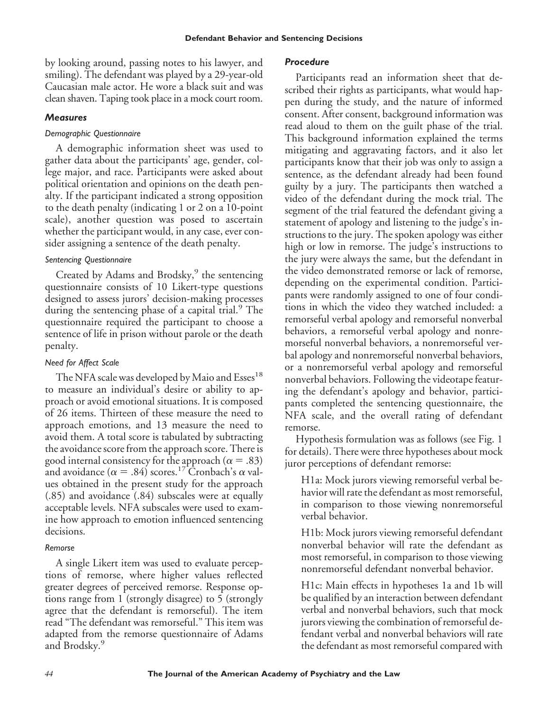by looking around, passing notes to his lawyer, and smiling). The defendant was played by a 29-year-old Caucasian male actor. He wore a black suit and was clean shaven. Taping took place in a mock court room.

#### *Measures*

#### *Demographic Questionnaire*

A demographic information sheet was used to gather data about the participants' age, gender, college major, and race. Participants were asked about political orientation and opinions on the death penalty. If the participant indicated a strong opposition to the death penalty (indicating 1 or 2 on a 10-point scale), another question was posed to ascertain whether the participant would, in any case, ever consider assigning a sentence of the death penalty.

## *Sentencing Questionnaire*

Created by Adams and Brodsky,<sup>9</sup> the sentencing questionnaire consists of 10 Likert-type questions designed to assess jurors' decision-making processes during the sentencing phase of a capital trial.<sup>9</sup> The questionnaire required the participant to choose a sentence of life in prison without parole or the death penalty.

## *Need for Affect Scale*

The NFA scale was developed by Maio and Esses<sup>18</sup> to measure an individual's desire or ability to approach or avoid emotional situations. It is composed of 26 items. Thirteen of these measure the need to approach emotions, and 13 measure the need to avoid them. A total score is tabulated by subtracting the avoidance score from the approach score. There is good internal consistency for the approach ( $\alpha = .83$ ) and avoidance ( $\alpha = .84$ ) scores.<sup>17</sup> Cronbach's  $\alpha$  values obtained in the present study for the approach (.85) and avoidance (.84) subscales were at equally acceptable levels. NFA subscales were used to examine how approach to emotion influenced sentencing decisions.

## *Remorse*

A single Likert item was used to evaluate perceptions of remorse, where higher values reflected greater degrees of perceived remorse. Response options range from 1 (strongly disagree) to 5 (strongly agree that the defendant is remorseful). The item read "The defendant was remorseful." This item was adapted from the remorse questionnaire of Adams and Brodsky.<sup>9</sup>

#### *Procedure*

Participants read an information sheet that described their rights as participants, what would happen during the study, and the nature of informed consent. After consent, background information was read aloud to them on the guilt phase of the trial. This background information explained the terms mitigating and aggravating factors, and it also let participants know that their job was only to assign a sentence, as the defendant already had been found guilty by a jury. The participants then watched a video of the defendant during the mock trial. The segment of the trial featured the defendant giving a statement of apology and listening to the judge's instructions to the jury. The spoken apology was either high or low in remorse. The judge's instructions to the jury were always the same, but the defendant in the video demonstrated remorse or lack of remorse, depending on the experimental condition. Participants were randomly assigned to one of four conditions in which the video they watched included: a remorseful verbal apology and remorseful nonverbal behaviors, a remorseful verbal apology and nonremorseful nonverbal behaviors, a nonremorseful verbal apology and nonremorseful nonverbal behaviors, or a nonremorseful verbal apology and remorseful nonverbal behaviors. Following the videotape featuring the defendant's apology and behavior, participants completed the sentencing questionnaire, the NFA scale, and the overall rating of defendant remorse.

Hypothesis formulation was as follows (see Fig. 1 for details). There were three hypotheses about mock juror perceptions of defendant remorse:

H1a: Mock jurors viewing remorseful verbal behavior will rate the defendant as most remorseful, in comparison to those viewing nonremorseful verbal behavior.

H1b: Mock jurors viewing remorseful defendant nonverbal behavior will rate the defendant as most remorseful, in comparison to those viewing nonremorseful defendant nonverbal behavior.

H1c: Main effects in hypotheses 1a and 1b will be qualified by an interaction between defendant verbal and nonverbal behaviors, such that mock jurors viewing the combination of remorseful defendant verbal and nonverbal behaviors will rate the defendant as most remorseful compared with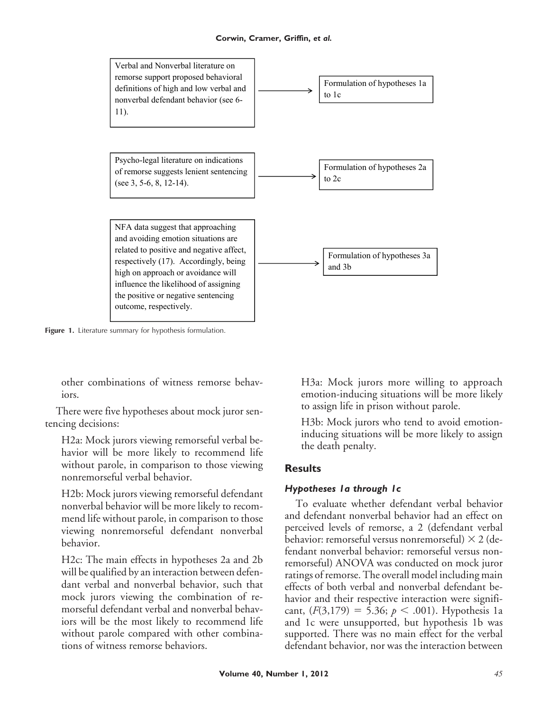

**Figure 1.** Literature summary for hypothesis formulation.

other combinations of witness remorse behaviors.

There were five hypotheses about mock juror sentencing decisions:

H2a: Mock jurors viewing remorseful verbal behavior will be more likely to recommend life without parole, in comparison to those viewing nonremorseful verbal behavior.

H2b: Mock jurors viewing remorseful defendant nonverbal behavior will be more likely to recommend life without parole, in comparison to those viewing nonremorseful defendant nonverbal behavior.

H2c: The main effects in hypotheses 2a and 2b will be qualified by an interaction between defendant verbal and nonverbal behavior, such that mock jurors viewing the combination of remorseful defendant verbal and nonverbal behaviors will be the most likely to recommend life without parole compared with other combinations of witness remorse behaviors.

H3a: Mock jurors more willing to approach emotion-inducing situations will be more likely to assign life in prison without parole.

H3b: Mock jurors who tend to avoid emotioninducing situations will be more likely to assign the death penalty.

## **Results**

#### *Hypotheses 1a through 1c*

To evaluate whether defendant verbal behavior and defendant nonverbal behavior had an effect on perceived levels of remorse, a 2 (defendant verbal behavior: remorseful versus nonremorseful)  $\times$  2 (defendant nonverbal behavior: remorseful versus nonremorseful) ANOVA was conducted on mock juror ratings of remorse. The overall model including main effects of both verbal and nonverbal defendant behavior and their respective interaction were significant,  $(F(3,179) = 5.36; p < .001)$ . Hypothesis 1a and 1c were unsupported, but hypothesis 1b was supported. There was no main effect for the verbal defendant behavior, nor was the interaction between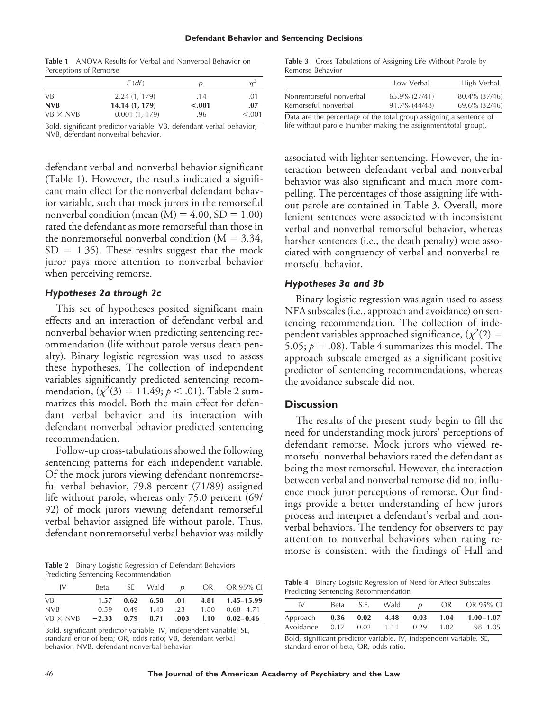#### **Defendant Behavior and Sentencing Decisions**

**Table 1** ANOVA Results for Verbal and Nonverbal Behavior on Perceptions of Remorse

|                 | F(df)          | p       | n <sup>2</sup> |
|-----------------|----------------|---------|----------------|
| <b>VB</b>       | 2.24(1, 179)   | .14     | .01            |
| <b>NVB</b>      | 14.14 (1, 179) | $-.001$ | .07            |
| $VB \times NVB$ | 0.001(1, 179)  | .96     | < 0.001        |

Bold, significant predictor variable. VB, defendant verbal behavior; NVB, defendant nonverbal behavior.

defendant verbal and nonverbal behavior significant (Table 1). However, the results indicated a significant main effect for the nonverbal defendant behavior variable, such that mock jurors in the remorseful nonverbal condition (mean  $(M) = 4.00$ ,  $SD = 1.00$ ) rated the defendant as more remorseful than those in the nonremorseful nonverbal condition ( $M = 3.34$ ,  $SD = 1.35$ ). These results suggest that the mock juror pays more attention to nonverbal behavior when perceiving remorse.

#### *Hypotheses 2a through 2c*

This set of hypotheses posited significant main effects and an interaction of defendant verbal and nonverbal behavior when predicting sentencing recommendation (life without parole versus death penalty). Binary logistic regression was used to assess these hypotheses. The collection of independent variables significantly predicted sentencing recommendation,  $(\chi^2(3) = 11.49; p < .01)$ . Table 2 summarizes this model. Both the main effect for defendant verbal behavior and its interaction with defendant nonverbal behavior predicted sentencing recommendation.

Follow-up cross-tabulations showed the following sentencing patterns for each independent variable. Of the mock jurors viewing defendant nonremorseful verbal behavior, 79.8 percent (71/89) assigned life without parole, whereas only 75.0 percent (69/ 92) of mock jurors viewing defendant remorseful verbal behavior assigned life without parole. Thus, defendant nonremorseful verbal behavior was mildly

**Table 2** Binary Logistic Regression of Defendant Behaviors Predicting Sentencing Recommendation

| IV                                                  | Beta |  |  | SE Wald p OR OR 95% CI                        |
|-----------------------------------------------------|------|--|--|-----------------------------------------------|
| <b>VB</b>                                           | 1.57 |  |  | $0.62$ $6.58$ $0.01$ $4.81$ $1.45-15.99$      |
| <b>NVB</b>                                          |      |  |  | $0.59$ $0.49$ $1.43$ $.23$ $1.80$ $0.68-4.71$ |
| $VB \times NVB$ -2.33 0.79 8.71 .003 1.10 0.02-0.46 |      |  |  |                                               |

Bold, significant predictor variable. IV, independent variable; SE, standard error of beta; OR, odds ratio; VB, defendant verbal behavior; NVB, defendant nonverbal behavior.

**Table 3** Cross Tabulations of Assigning Life Without Parole by Remorse Behavior

|                                                                     | Low Verbal       | High Verbal   |
|---------------------------------------------------------------------|------------------|---------------|
| Nonremorseful nonverbal                                             | 65.9% (27/41)    | 80.4% (37/46) |
| Remorseful nonverbal                                                | $91.7\%$ (44/48) | 69.6% (32/46) |
| Data ang tha managatago af tha tatal guarno agalgalag a gantanga af |                  |               |

Data are the percentage of the total group assigning a sentence of life without parole (number making the assignment/total group).

associated with lighter sentencing. However, the interaction between defendant verbal and nonverbal behavior was also significant and much more compelling. The percentages of those assigning life without parole are contained in Table 3. Overall, more lenient sentences were associated with inconsistent verbal and nonverbal remorseful behavior, whereas harsher sentences (i.e., the death penalty) were associated with congruency of verbal and nonverbal remorseful behavior.

#### *Hypotheses 3a and 3b*

Binary logistic regression was again used to assess NFA subscales (i.e., approach and avoidance) on sentencing recommendation. The collection of independent variables approached significance,  $(\chi^2(2) =$ 5.05;  $p = .08$ ). Table 4 summarizes this model. The approach subscale emerged as a significant positive predictor of sentencing recommendations, whereas the avoidance subscale did not.

#### **Discussion**

The results of the present study begin to fill the need for understanding mock jurors' perceptions of defendant remorse. Mock jurors who viewed remorseful nonverbal behaviors rated the defendant as being the most remorseful. However, the interaction between verbal and nonverbal remorse did not influence mock juror perceptions of remorse. Our findings provide a better understanding of how jurors process and interpret a defendant's verbal and nonverbal behaviors. The tendency for observers to pay attention to nonverbal behaviors when rating remorse is consistent with the findings of Hall and

**Table 4** Binary Logistic Regression of Need for Affect Subscales Predicting Sentencing Recommendation

| IV                                  | Beta | S.E. | Wald              | $\overline{D}$ | OR           | OR 95% CI                     |
|-------------------------------------|------|------|-------------------|----------------|--------------|-------------------------------|
| Approach $0.36$ $0.02$<br>Avoidance | 0.17 | 0.02 | 4.48 0.03<br>1.11 | 0.29           | 1.04<br>1.02 | $1.00 - 1.07$<br>$.98 - 1.05$ |

Bold, significant predictor variable. IV, independent variable. SE, standard error of beta; OR, odds ratio.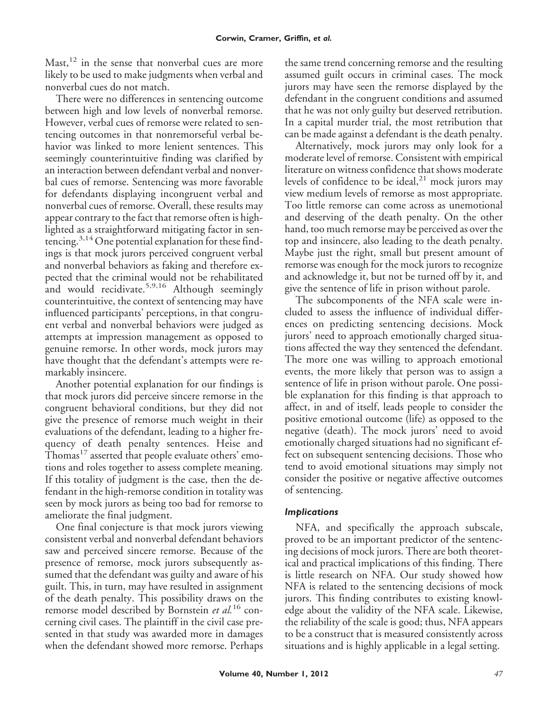Mast,  $12$  in the sense that nonverbal cues are more likely to be used to make judgments when verbal and nonverbal cues do not match.

There were no differences in sentencing outcome between high and low levels of nonverbal remorse. However, verbal cues of remorse were related to sentencing outcomes in that nonremorseful verbal behavior was linked to more lenient sentences. This seemingly counterintuitive finding was clarified by an interaction between defendant verbal and nonverbal cues of remorse. Sentencing was more favorable for defendants displaying incongruent verbal and nonverbal cues of remorse. Overall, these results may appear contrary to the fact that remorse often is highlighted as a straightforward mitigating factor in sentencing.<sup>3,14</sup> One potential explanation for these findings is that mock jurors perceived congruent verbal and nonverbal behaviors as faking and therefore expected that the criminal would not be rehabilitated and would recidivate.<sup>5,9,16</sup> Although seemingly counterintuitive, the context of sentencing may have influenced participants' perceptions, in that congruent verbal and nonverbal behaviors were judged as attempts at impression management as opposed to genuine remorse. In other words, mock jurors may have thought that the defendant's attempts were remarkably insincere.

Another potential explanation for our findings is that mock jurors did perceive sincere remorse in the congruent behavioral conditions, but they did not give the presence of remorse much weight in their evaluations of the defendant, leading to a higher frequency of death penalty sentences. Heise and Thomas $^{17}$  asserted that people evaluate others' emotions and roles together to assess complete meaning. If this totality of judgment is the case, then the defendant in the high-remorse condition in totality was seen by mock jurors as being too bad for remorse to ameliorate the final judgment.

One final conjecture is that mock jurors viewing consistent verbal and nonverbal defendant behaviors saw and perceived sincere remorse. Because of the presence of remorse, mock jurors subsequently assumed that the defendant was guilty and aware of his guilt. This, in turn, may have resulted in assignment of the death penalty. This possibility draws on the remorse model described by Bornstein *et al.*<sup>16</sup> concerning civil cases. The plaintiff in the civil case presented in that study was awarded more in damages when the defendant showed more remorse. Perhaps the same trend concerning remorse and the resulting assumed guilt occurs in criminal cases. The mock jurors may have seen the remorse displayed by the defendant in the congruent conditions and assumed that he was not only guilty but deserved retribution. In a capital murder trial, the most retribution that can be made against a defendant is the death penalty.

Alternatively, mock jurors may only look for a moderate level of remorse. Consistent with empirical literature on witness confidence that shows moderate levels of confidence to be ideal, $^{21}$  mock jurors may view medium levels of remorse as most appropriate. Too little remorse can come across as unemotional and deserving of the death penalty. On the other hand, too much remorse may be perceived as over the top and insincere, also leading to the death penalty. Maybe just the right, small but present amount of remorse was enough for the mock jurors to recognize and acknowledge it, but not be turned off by it, and give the sentence of life in prison without parole.

The subcomponents of the NFA scale were included to assess the influence of individual differences on predicting sentencing decisions. Mock jurors' need to approach emotionally charged situations affected the way they sentenced the defendant. The more one was willing to approach emotional events, the more likely that person was to assign a sentence of life in prison without parole. One possible explanation for this finding is that approach to affect, in and of itself, leads people to consider the positive emotional outcome (life) as opposed to the negative (death). The mock jurors' need to avoid emotionally charged situations had no significant effect on subsequent sentencing decisions. Those who tend to avoid emotional situations may simply not consider the positive or negative affective outcomes of sentencing.

## *Implications*

NFA, and specifically the approach subscale, proved to be an important predictor of the sentencing decisions of mock jurors. There are both theoretical and practical implications of this finding. There is little research on NFA. Our study showed how NFA is related to the sentencing decisions of mock jurors. This finding contributes to existing knowledge about the validity of the NFA scale. Likewise, the reliability of the scale is good; thus, NFA appears to be a construct that is measured consistently across situations and is highly applicable in a legal setting.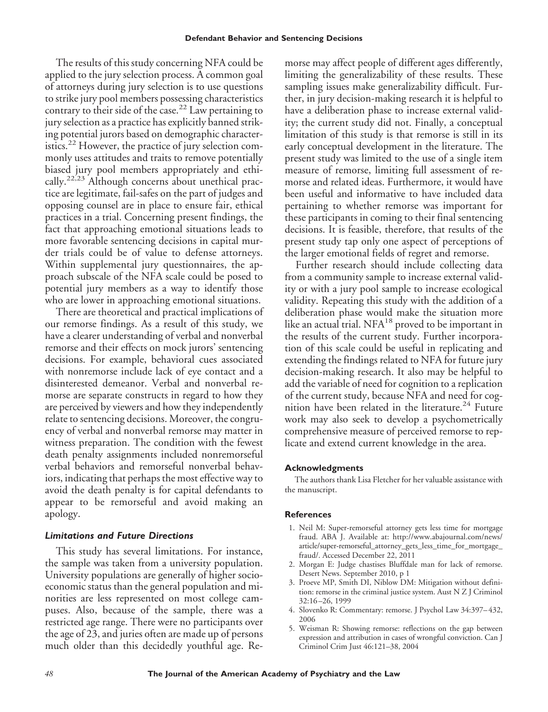The results of this study concerning NFA could be applied to the jury selection process. A common goal of attorneys during jury selection is to use questions to strike jury pool members possessing characteristics contrary to their side of the case.<sup>22</sup> Law pertaining to jury selection as a practice has explicitly banned striking potential jurors based on demographic characteristics.<sup>22</sup> However, the practice of jury selection commonly uses attitudes and traits to remove potentially biased jury pool members appropriately and ethically.<sup>22,23</sup> Although concerns about unethical practice are legitimate, fail-safes on the part of judges and opposing counsel are in place to ensure fair, ethical practices in a trial. Concerning present findings, the fact that approaching emotional situations leads to more favorable sentencing decisions in capital murder trials could be of value to defense attorneys. Within supplemental jury questionnaires, the approach subscale of the NFA scale could be posed to potential jury members as a way to identify those who are lower in approaching emotional situations.

There are theoretical and practical implications of our remorse findings. As a result of this study, we have a clearer understanding of verbal and nonverbal remorse and their effects on mock jurors' sentencing decisions. For example, behavioral cues associated with nonremorse include lack of eye contact and a disinterested demeanor. Verbal and nonverbal remorse are separate constructs in regard to how they are perceived by viewers and how they independently relate to sentencing decisions. Moreover, the congruency of verbal and nonverbal remorse may matter in witness preparation. The condition with the fewest death penalty assignments included nonremorseful verbal behaviors and remorseful nonverbal behaviors, indicating that perhaps the most effective way to avoid the death penalty is for capital defendants to appear to be remorseful and avoid making an apology.

#### *Limitations and Future Directions*

This study has several limitations. For instance, the sample was taken from a university population. University populations are generally of higher socioeconomic status than the general population and minorities are less represented on most college campuses. Also, because of the sample, there was a restricted age range. There were no participants over the age of 23, and juries often are made up of persons much older than this decidedly youthful age. Remorse may affect people of different ages differently, limiting the generalizability of these results. These sampling issues make generalizability difficult. Further, in jury decision-making research it is helpful to have a deliberation phase to increase external validity; the current study did not. Finally, a conceptual limitation of this study is that remorse is still in its early conceptual development in the literature. The present study was limited to the use of a single item measure of remorse, limiting full assessment of remorse and related ideas. Furthermore, it would have been useful and informative to have included data pertaining to whether remorse was important for these participants in coming to their final sentencing decisions. It is feasible, therefore, that results of the present study tap only one aspect of perceptions of the larger emotional fields of regret and remorse.

Further research should include collecting data from a community sample to increase external validity or with a jury pool sample to increase ecological validity. Repeating this study with the addition of a deliberation phase would make the situation more like an actual trial.  $NFA^{18}$  proved to be important in the results of the current study. Further incorporation of this scale could be useful in replicating and extending the findings related to NFA for future jury decision-making research. It also may be helpful to add the variable of need for cognition to a replication of the current study, because NFA and need for cognition have been related in the literature.<sup>24</sup> Future work may also seek to develop a psychometrically comprehensive measure of perceived remorse to replicate and extend current knowledge in the area.

#### **Acknowledgments**

The authors thank Lisa Fletcher for her valuable assistance with the manuscript.

#### **References**

- 1. Neil M: Super-remorseful attorney gets less time for mortgage fraud. ABA J. Available at: http://www.abajournal.com/news/ article/super-remorseful\_attorney\_gets\_less\_time\_for\_mortgage\_ fraud/. Accessed December 22, 2011
- 2. Morgan E: Judge chastises Bluffdale man for lack of remorse. Desert News. September 2010, p 1
- 3. Proeve MP, Smith DI, Niblow DM: Mitigation without definition: remorse in the criminal justice system. Aust N Z J Criminol 32:16 –26, 1999
- 4. Slovenko R: Commentary: remorse. J Psychol Law 34:397– 432, 2006
- 5. Weisman R: Showing remorse: reflections on the gap between expression and attribution in cases of wrongful conviction. Can J Criminol Crim Just 46:121–38, 2004